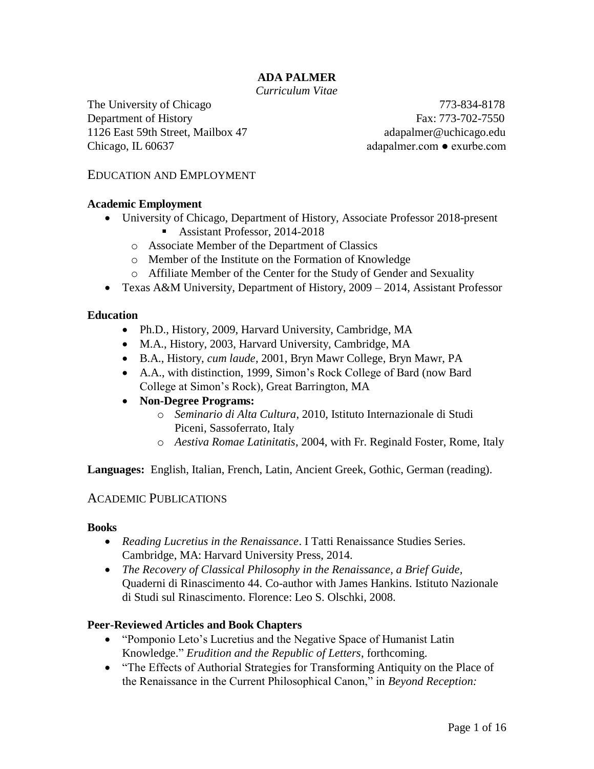## **ADA PALMER**

*Curriculum Vitae*

The University of Chicago 773-834-8178 Department of History Fax: 773-702-7550 1126 East 59th Street, Mailbox 47 adapalmer@uchicago.edu Chicago, IL 60637 adapalmer.com ● exurbe.com

### EDUCATION AND EMPLOYMENT

#### **Academic Employment**

- University of Chicago, Department of History, Associate Professor 2018-present Assistant Professor, 2014-2018
	- o Associate Member of the Department of Classics
	- o Member of the Institute on the Formation of Knowledge
	- o Affiliate Member of the Center for the Study of Gender and Sexuality
- Texas A&M University, Department of History, 2009 2014, Assistant Professor

#### **Education**

- Ph.D., History, 2009, Harvard University, Cambridge, MA
- M.A., History, 2003, Harvard University, Cambridge, MA
- B.A., History, *cum laude*, 2001, Bryn Mawr College, Bryn Mawr, PA
- A.A., with distinction, 1999, Simon's Rock College of Bard (now Bard College at Simon's Rock), Great Barrington, MA
- **Non-Degree Programs:**
	- o *Seminario di Alta Cultura*, 2010, Istituto Internazionale di Studi Piceni, Sassoferrato, Italy
	- o *Aestiva Romae Latinitatis*, 2004, with Fr. Reginald Foster, Rome, Italy

**Languages:** English, Italian, French, Latin, Ancient Greek, Gothic, German (reading).

### ACADEMIC PUBLICATIONS

#### **Books**

- *Reading Lucretius in the Renaissance*. I Tatti Renaissance Studies Series. Cambridge, MA: Harvard University Press, 2014.
- *The Recovery of Classical Philosophy in the Renaissance, a Brief Guide,*  Quaderni di Rinascimento 44. Co-author with James Hankins. Istituto Nazionale di Studi sul Rinascimento. Florence: Leo S. Olschki, 2008.

### **Peer-Reviewed Articles and Book Chapters**

- "Pomponio Leto's Lucretius and the Negative Space of Humanist Latin Knowledge." *Erudition and the Republic of Letters*, forthcoming.
- "The Effects of Authorial Strategies for Transforming Antiquity on the Place of the Renaissance in the Current Philosophical Canon," in *Beyond Reception:*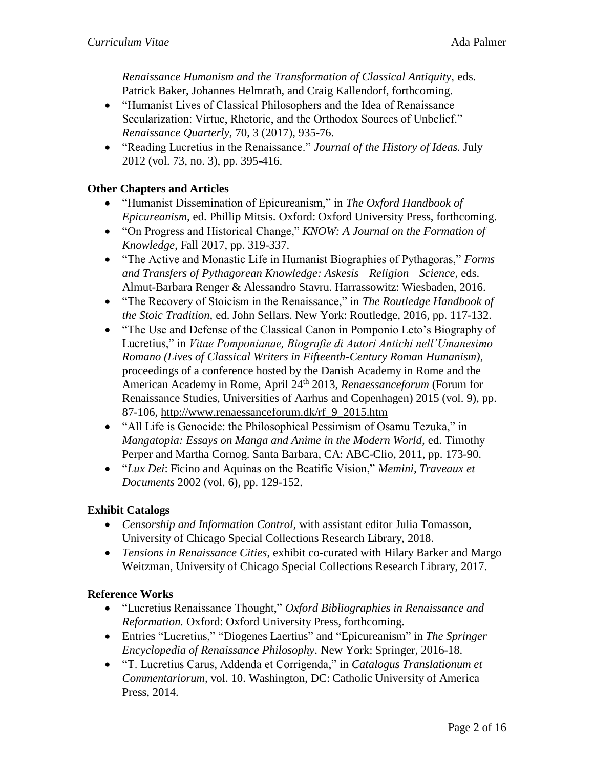*Renaissance Humanism and the Transformation of Classical Antiquity,* eds. Patrick Baker, Johannes Helmrath, and Craig Kallendorf, forthcoming.

- "Humanist Lives of Classical Philosophers and the Idea of Renaissance Secularization: Virtue, Rhetoric, and the Orthodox Sources of Unbelief." *Renaissance Quarterly,* 70, 3 (2017), 935-76.
- "Reading Lucretius in the Renaissance." *Journal of the History of Ideas.* July 2012 (vol. 73, no. 3), pp. 395-416.

### **Other Chapters and Articles**

- "Humanist Dissemination of Epicureanism," in *The Oxford Handbook of Epicureanism,* ed. Phillip Mitsis. Oxford: Oxford University Press, forthcoming.
- "On Progress and Historical Change," *KNOW: A Journal on the Formation of Knowledge*, Fall 2017, pp. 319-337.
- "The Active and Monastic Life in Humanist Biographies of Pythagoras," *Forms and Transfers of Pythagorean Knowledge: Askesis—Religion—Science*, eds. Almut-Barbara Renger & Alessandro Stavru. Harrassowitz: Wiesbaden, 2016.
- "The Recovery of Stoicism in the Renaissance," in *The Routledge Handbook of the Stoic Tradition,* ed. John Sellars. New York: Routledge, 2016, pp. 117-132.
- "The Use and Defense of the Classical Canon in Pomponio Leto's Biography of Lucretius," in *Vitae Pomponianae, Biografie di Autori Antichi nell'Umanesimo Romano (Lives of Classical Writers in Fifteenth-Century Roman Humanism)*, proceedings of a conference hosted by the Danish Academy in Rome and the American Academy in Rome, April 24<sup>th</sup> 2013, *Renaessanceforum* (Forum for Renaissance Studies, Universities of Aarhus and Copenhagen) 2015 (vol. 9), pp. 87-106, [http://www.renaessanceforum.dk/rf\\_9\\_2015.htm](http://www.renaessanceforum.dk/rf_9_2015.htm)
- "All Life is Genocide: the Philosophical Pessimism of Osamu Tezuka," in *Mangatopia: Essays on Manga and Anime in the Modern World,* ed. Timothy Perper and Martha Cornog. Santa Barbara, CA: ABC-Clio, 2011, pp. 173-90.
- "*Lux Dei*: Ficino and Aquinas on the Beatific Vision," *Memini, Traveaux et Documents* 2002 (vol. 6), pp. 129-152.

### **Exhibit Catalogs**

- *Censorship and Information Control,* with assistant editor Julia Tomasson, University of Chicago Special Collections Research Library, 2018.
- *Tensions in Renaissance Cities*, exhibit co-curated with Hilary Barker and Margo Weitzman, University of Chicago Special Collections Research Library, 2017.

### **Reference Works**

- "Lucretius Renaissance Thought," *Oxford Bibliographies in Renaissance and Reformation.* Oxford: Oxford University Press, forthcoming.
- Entries "Lucretius," "Diogenes Laertius" and "Epicureanism" in *The Springer Encyclopedia of Renaissance Philosophy.* New York: Springer, 2016-18.
- "T. Lucretius Carus, Addenda et Corrigenda," in *Catalogus Translationum et Commentariorum,* vol. 10. Washington, DC: Catholic University of America Press, 2014.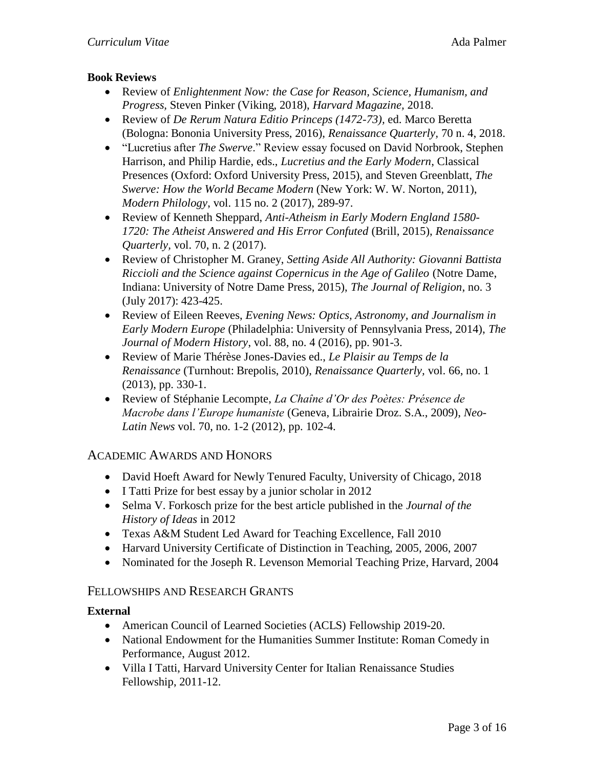### **Book Reviews**

- Review of *Enlightenment Now: the Case for Reason, Science, Humanism, and Progress,* Steven Pinker (Viking, 2018), *Harvard Magazine,* 2018.
- Review of *De Rerum Natura Editio Princeps (1472-73),* ed. Marco Beretta (Bologna: Bononia University Press, 2016), *Renaissance Quarterly,* 70 n. 4, 2018.
- "Lucretius after *The Swerve*." Review essay focused on David Norbrook, Stephen Harrison, and Philip Hardie, eds., *Lucretius and the Early Modern*, Classical Presences (Oxford: Oxford University Press, 2015), and Steven Greenblatt, *The Swerve: How the World Became Modern* (New York: W. W. Norton, 2011), *Modern Philology*, vol. 115 no. 2 (2017), 289-97.
- Review of Kenneth Sheppard, *Anti-Atheism in Early Modern England 1580- 1720: The Atheist Answered and His Error Confuted* (Brill, 2015), *Renaissance Quarterly,* vol. 70, n. 2 (2017).
- Review of Christopher M. Graney, *Setting Aside All Authority: Giovanni Battista Riccioli and the Science against Copernicus in the Age of Galileo* (Notre Dame, Indiana: University of Notre Dame Press, 2015), *The Journal of Religion*, no. 3 (July 2017): 423-425.
- Review of Eileen Reeves, *Evening News: Optics, Astronomy, and Journalism in Early Modern Europe* (Philadelphia: University of Pennsylvania Press, 2014), *The Journal of Modern History*, vol. 88, no. 4 (2016), pp. 901-3.
- Review of Marie Thérèse Jones-Davies ed., *Le Plaisir au Temps de la Renaissance* (Turnhout: Brepolis, 2010), *Renaissance Quarterly,* vol. 66, no. 1 (2013), pp. 330-1.
- Review of Stéphanie Lecompte, *La Chaîne d'Or des Poètes: Présence de Macrobe dans l'Europe humaniste* (Geneva, Librairie Droz. S.A., 2009), *Neo-Latin News* vol. 70, no. 1-2 (2012), pp. 102-4.

# ACADEMIC AWARDS AND HONORS

- David Hoeft Award for Newly Tenured Faculty, University of Chicago, 2018
- I Tatti Prize for best essay by a junior scholar in 2012
- Selma V. Forkosch prize for the best article published in the *Journal of the History of Ideas* in 2012
- Texas A&M Student Led Award for Teaching Excellence, Fall 2010
- Harvard University Certificate of Distinction in Teaching, 2005, 2006, 2007
- Nominated for the Joseph R. Levenson Memorial Teaching Prize, Harvard, 2004

# FELLOWSHIPS AND RESEARCH GRANTS

### **External**

- American Council of Learned Societies (ACLS) Fellowship 2019-20.
- National Endowment for the Humanities Summer Institute: Roman Comedy in Performance, August 2012.
- Villa I Tatti, Harvard University Center for Italian Renaissance Studies Fellowship, 2011-12.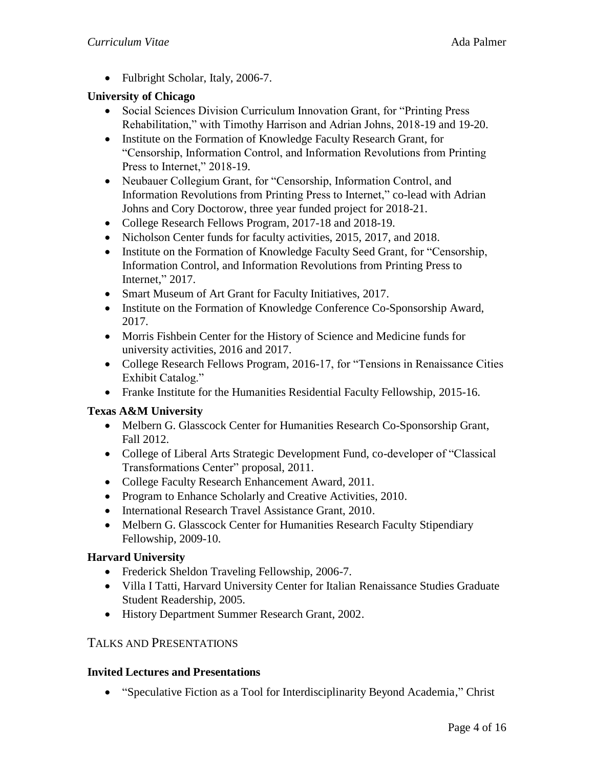• Fulbright Scholar, Italy, 2006-7.

### **University of Chicago**

- Social Sciences Division Curriculum Innovation Grant, for "Printing Press Rehabilitation," with Timothy Harrison and Adrian Johns, 2018-19 and 19-20.
- Institute on the Formation of Knowledge Faculty Research Grant, for "Censorship, Information Control, and Information Revolutions from Printing Press to Internet," 2018-19.
- Neubauer Collegium Grant, for "Censorship, Information Control, and Information Revolutions from Printing Press to Internet," co-lead with Adrian Johns and Cory Doctorow, three year funded project for 2018-21.
- College Research Fellows Program, 2017-18 and 2018-19.
- Nicholson Center funds for faculty activities, 2015, 2017, and 2018.
- Institute on the Formation of Knowledge Faculty Seed Grant, for "Censorship, Information Control, and Information Revolutions from Printing Press to Internet," 2017.
- Smart Museum of Art Grant for Faculty Initiatives, 2017.
- Institute on the Formation of Knowledge Conference Co-Sponsorship Award, 2017.
- Morris Fishbein Center for the History of Science and Medicine funds for university activities, 2016 and 2017.
- College Research Fellows Program, 2016-17, for "Tensions in Renaissance Cities Exhibit Catalog."
- Franke Institute for the Humanities Residential Faculty Fellowship, 2015-16.

# **Texas A&M University**

- Melbern G. Glasscock Center for Humanities Research Co-Sponsorship Grant, Fall 2012.
- College of Liberal Arts Strategic Development Fund, co-developer of "Classical Transformations Center" proposal, 2011.
- College Faculty Research Enhancement Award, 2011.
- Program to Enhance Scholarly and Creative Activities, 2010.
- International Research Travel Assistance Grant, 2010.
- Melbern G. Glasscock Center for Humanities Research Faculty Stipendiary Fellowship, 2009-10.

### **Harvard University**

- Frederick Sheldon Traveling Fellowship, 2006-7.
- Villa I Tatti, Harvard University Center for Italian Renaissance Studies Graduate Student Readership, 2005.
- History Department Summer Research Grant, 2002.

# TALKS AND PRESENTATIONS

### **Invited Lectures and Presentations**

"Speculative Fiction as a Tool for Interdisciplinarity Beyond Academia," Christ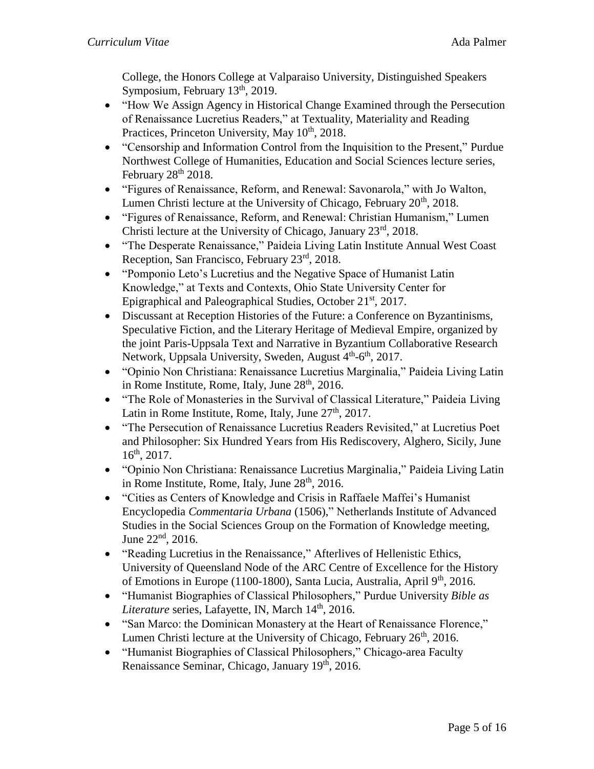College, the Honors College at Valparaiso University, Distinguished Speakers Symposium, February 13<sup>th</sup>, 2019.

- "How We Assign Agency in Historical Change Examined through the Persecution of Renaissance Lucretius Readers," at Textuality, Materiality and Reading Practices, Princeton University, May 10<sup>th</sup>, 2018.
- "Censorship and Information Control from the Inquisition to the Present," Purdue Northwest College of Humanities, Education and Social Sciences lecture series, February  $28<sup>th</sup> 2018$ .
- "Figures of Renaissance, Reform, and Renewal: Savonarola," with Jo Walton, Lumen Christi lecture at the University of Chicago, February 20<sup>th</sup>, 2018.
- "Figures of Renaissance, Reform, and Renewal: Christian Humanism," Lumen Christi lecture at the University of Chicago, January 23<sup>rd</sup>, 2018.
- "The Desperate Renaissance," Paideia Living Latin Institute Annual West Coast Reception, San Francisco, February 23rd, 2018.
- "Pomponio Leto's Lucretius and the Negative Space of Humanist Latin Knowledge," at Texts and Contexts, Ohio State University Center for Epigraphical and Paleographical Studies, October 21<sup>st</sup>, 2017.
- Discussant at Reception Histories of the Future: a Conference on Byzantinisms, Speculative Fiction, and the Literary Heritage of Medieval Empire, organized by the joint Paris-Uppsala Text and Narrative in Byzantium Collaborative Research Network, Uppsala University, Sweden, August 4<sup>th</sup>-6<sup>th</sup>, 2017.
- "Opinio Non Christiana: Renaissance Lucretius Marginalia," Paideia Living Latin in Rome Institute, Rome, Italy, June  $28<sup>th</sup>$ , 2016.
- "The Role of Monasteries in the Survival of Classical Literature," Paideia Living Latin in Rome Institute, Rome, Italy, June  $27<sup>th</sup>$ , 2017.
- "The Persecution of Renaissance Lucretius Readers Revisited," at Lucretius Poet and Philosopher: Six Hundred Years from His Rediscovery, Alghero, Sicily, June  $16^{th}$ , 2017.
- "Opinio Non Christiana: Renaissance Lucretius Marginalia," Paideia Living Latin in Rome Institute, Rome, Italy, June 28<sup>th</sup>, 2016.
- "Cities as Centers of Knowledge and Crisis in Raffaele Maffei's Humanist Encyclopedia *Commentaria Urbana* (1506)," Netherlands Institute of Advanced Studies in the Social Sciences Group on the Formation of Knowledge meeting, June  $22<sup>nd</sup>$ , 2016.
- "Reading Lucretius in the Renaissance," Afterlives of Hellenistic Ethics, University of Queensland Node of the ARC Centre of Excellence for the History of Emotions in Europe (1100-1800), Santa Lucia, Australia, April 9<sup>th</sup>, 2016.
- "Humanist Biographies of Classical Philosophers," Purdue University *Bible as Literature* series, Lafayette, IN, March 14<sup>th</sup>, 2016.
- "San Marco: the Dominican Monastery at the Heart of Renaissance Florence," Lumen Christi lecture at the University of Chicago, February  $26<sup>th</sup>$ , 2016.
- "Humanist Biographies of Classical Philosophers," Chicago-area Faculty Renaissance Seminar, Chicago, January 19<sup>th</sup>, 2016.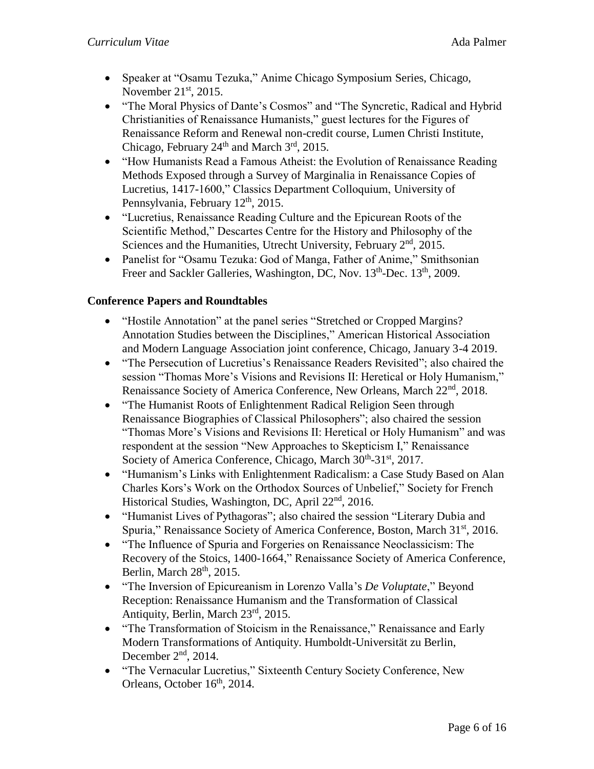- Speaker at "Osamu Tezuka," Anime Chicago Symposium Series, Chicago, November  $21<sup>st</sup>$ , 2015.
- "The Moral Physics of Dante's Cosmos" and "The Syncretic, Radical and Hybrid Christianities of Renaissance Humanists," guest lectures for the Figures of Renaissance Reform and Renewal non-credit course, Lumen Christi Institute, Chicago, February  $24<sup>th</sup>$  and March  $3<sup>rd</sup>$ , 2015.
- "How Humanists Read a Famous Atheist: the Evolution of Renaissance Reading Methods Exposed through a Survey of Marginalia in Renaissance Copies of Lucretius, 1417-1600," Classics Department Colloquium, University of Pennsylvania, February 12<sup>th</sup>, 2015.
- "Lucretius, Renaissance Reading Culture and the Epicurean Roots of the Scientific Method," Descartes Centre for the History and Philosophy of the Sciences and the Humanities, Utrecht University, February 2<sup>nd</sup>, 2015.
- Panelist for "Osamu Tezuka: God of Manga, Father of Anime," Smithsonian Freer and Sackler Galleries, Washington, DC, Nov. 13<sup>th</sup>-Dec. 13<sup>th</sup>, 2009.

### **Conference Papers and Roundtables**

- "Hostile Annotation" at the panel series "Stretched or Cropped Margins? Annotation Studies between the Disciplines," American Historical Association and Modern Language Association joint conference, Chicago, January 3-4 2019.
- "The Persecution of Lucretius's Renaissance Readers Revisited"; also chaired the session "Thomas More's Visions and Revisions II: Heretical or Holy Humanism," Renaissance Society of America Conference, New Orleans, March 22<sup>nd</sup>, 2018.
- "The Humanist Roots of Enlightenment Radical Religion Seen through Renaissance Biographies of Classical Philosophers"; also chaired the session "Thomas More's Visions and Revisions II: Heretical or Holy Humanism" and was respondent at the session "New Approaches to Skepticism I," Renaissance Society of America Conference, Chicago, March 30th-31st, 2017.
- "Humanism's Links with Enlightenment Radicalism: a Case Study Based on Alan Charles Kors's Work on the Orthodox Sources of Unbelief," Society for French Historical Studies, Washington, DC, April 22<sup>nd</sup>, 2016.
- "Humanist Lives of Pythagoras"; also chaired the session "Literary Dubia and Spuria," Renaissance Society of America Conference, Boston, March 31<sup>st</sup>, 2016.
- "The Influence of Spuria and Forgeries on Renaissance Neoclassicism: The Recovery of the Stoics, 1400-1664," Renaissance Society of America Conference, Berlin, March  $28<sup>th</sup>$ ,  $2015$ .
- "The Inversion of Epicureanism in Lorenzo Valla's *De Voluptate*," Beyond Reception: Renaissance Humanism and the Transformation of Classical Antiquity, Berlin, March 23rd, 2015.
- "The Transformation of Stoicism in the Renaissance," Renaissance and Early Modern Transformations of Antiquity. Humboldt-Universität zu Berlin, December  $2<sup>nd</sup>$ , 2014.
- "The Vernacular Lucretius," Sixteenth Century Society Conference, New Orleans, October 16<sup>th</sup>, 2014.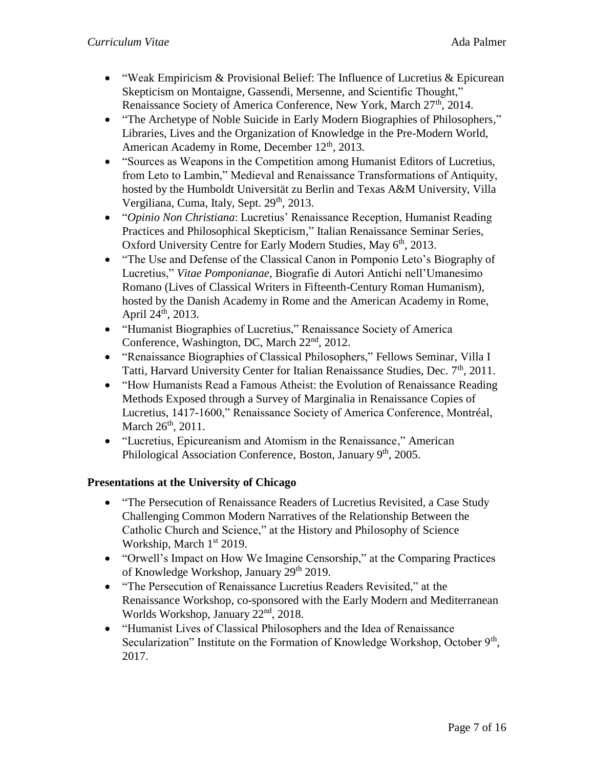- "Weak Empiricism  $&$  Provisional Belief: The Influence of Lucretius  $&$  Epicurean Skepticism on Montaigne, Gassendi, Mersenne, and Scientific Thought," Renaissance Society of America Conference, New York, March 27<sup>th</sup>, 2014.
- "The Archetype of Noble Suicide in Early Modern Biographies of Philosophers," Libraries, Lives and the Organization of Knowledge in the Pre-Modern World, American Academy in Rome, December 12<sup>th</sup>, 2013.
- "Sources as Weapons in the Competition among Humanist Editors of Lucretius, from Leto to Lambin," Medieval and Renaissance Transformations of Antiquity, hosted by the Humboldt Universität zu Berlin and Texas A&M University, Villa Vergiliana, Cuma, Italy, Sept. 29<sup>th</sup>, 2013.
- "*Opinio Non Christiana*: Lucretius' Renaissance Reception, Humanist Reading Practices and Philosophical Skepticism," Italian Renaissance Seminar Series, Oxford University Centre for Early Modern Studies, May 6<sup>th</sup>, 2013.
- "The Use and Defense of the Classical Canon in Pomponio Leto's Biography of Lucretius," *Vitae Pomponianae,* Biografie di Autori Antichi nell'Umanesimo Romano (Lives of Classical Writers in Fifteenth-Century Roman Humanism), hosted by the Danish Academy in Rome and the American Academy in Rome, April 24<sup>th</sup>, 2013.
- "Humanist Biographies of Lucretius," Renaissance Society of America Conference, Washington, DC, March 22<sup>nd</sup>, 2012.
- "Renaissance Biographies of Classical Philosophers," Fellows Seminar, Villa I Tatti, Harvard University Center for Italian Renaissance Studies, Dec. 7<sup>th</sup>, 2011.
- "How Humanists Read a Famous Atheist: the Evolution of Renaissance Reading Methods Exposed through a Survey of Marginalia in Renaissance Copies of Lucretius, 1417-1600," Renaissance Society of America Conference, Montréal, March 26<sup>th</sup>, 2011.
- "Lucretius, Epicureanism and Atomism in the Renaissance," American Philological Association Conference, Boston, January 9<sup>th</sup>, 2005.

# **Presentations at the University of Chicago**

- "The Persecution of Renaissance Readers of Lucretius Revisited, a Case Study Challenging Common Modern Narratives of the Relationship Between the Catholic Church and Science," at the History and Philosophy of Science Workship, March 1<sup>st</sup> 2019.
- "Orwell's Impact on How We Imagine Censorship," at the Comparing Practices of Knowledge Workshop, January 29<sup>th</sup> 2019.
- "The Persecution of Renaissance Lucretius Readers Revisited," at the Renaissance Workshop, co-sponsored with the Early Modern and Mediterranean Worlds Workshop, January 22<sup>nd</sup>, 2018.
- "Humanist Lives of Classical Philosophers and the Idea of Renaissance Secularization" Institute on the Formation of Knowledge Workshop, October 9<sup>th</sup>, 2017.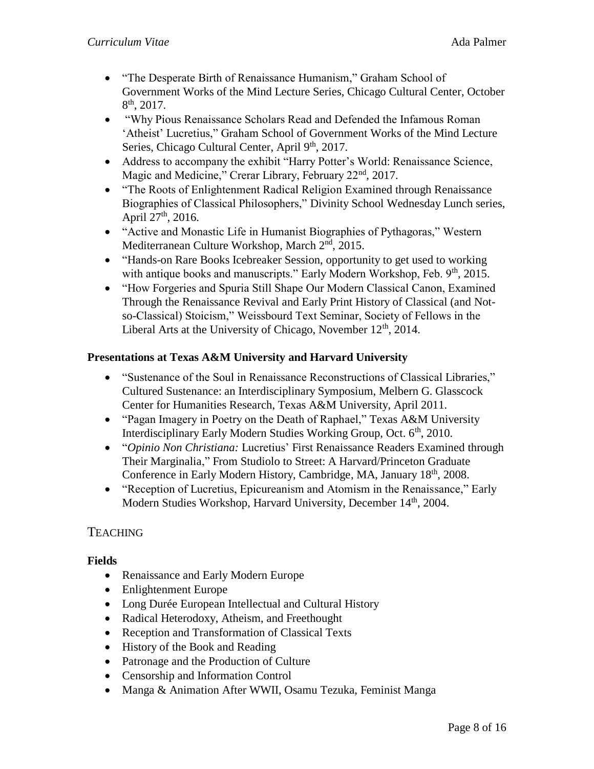- "The Desperate Birth of Renaissance Humanism," Graham School of Government Works of the Mind Lecture Series, Chicago Cultural Center, October  $8<sup>th</sup>$ , 2017.
- "Why Pious Renaissance Scholars Read and Defended the Infamous Roman 'Atheist' Lucretius," Graham School of Government Works of the Mind Lecture Series, Chicago Cultural Center, April 9<sup>th</sup>, 2017.
- Address to accompany the exhibit "Harry Potter's World: Renaissance Science, Magic and Medicine," Crerar Library, February 22<sup>nd</sup>, 2017.
- "The Roots of Enlightenment Radical Religion Examined through Renaissance Biographies of Classical Philosophers," Divinity School Wednesday Lunch series, April  $27^{\text{th}}$ , 2016.
- "Active and Monastic Life in Humanist Biographies of Pythagoras," Western Mediterranean Culture Workshop, March 2<sup>nd</sup>, 2015.
- "Hands-on Rare Books Icebreaker Session, opportunity to get used to working with antique books and manuscripts." Early Modern Workshop, Feb. 9th, 2015.
- "How Forgeries and Spuria Still Shape Our Modern Classical Canon, Examined Through the Renaissance Revival and Early Print History of Classical (and Notso-Classical) Stoicism," Weissbourd Text Seminar, Society of Fellows in the Liberal Arts at the University of Chicago, November  $12<sup>th</sup>$ , 2014.

## **Presentations at Texas A&M University and Harvard University**

- "Sustenance of the Soul in Renaissance Reconstructions of Classical Libraries," Cultured Sustenance: an Interdisciplinary Symposium, Melbern G. Glasscock Center for Humanities Research, Texas A&M University, April 2011.
- "Pagan Imagery in Poetry on the Death of Raphael," Texas A&M University Interdisciplinary Early Modern Studies Working Group, Oct. 6<sup>th</sup>, 2010.
- "*Opinio Non Christiana:* Lucretius' First Renaissance Readers Examined through Their Marginalia," From Studiolo to Street: A Harvard/Princeton Graduate Conference in Early Modern History, Cambridge, MA, January 18th, 2008.
- "Reception of Lucretius, Epicureanism and Atomism in the Renaissance," Early Modern Studies Workshop, Harvard University, December 14<sup>th</sup>, 2004.

# **TEACHING**

### **Fields**

- Renaissance and Early Modern Europe
- Enlightenment Europe
- Long Durée European Intellectual and Cultural History
- Radical Heterodoxy, Atheism, and Freethought
- Reception and Transformation of Classical Texts
- History of the Book and Reading
- Patronage and the Production of Culture
- Censorship and Information Control
- Manga & Animation After WWII, Osamu Tezuka, Feminist Manga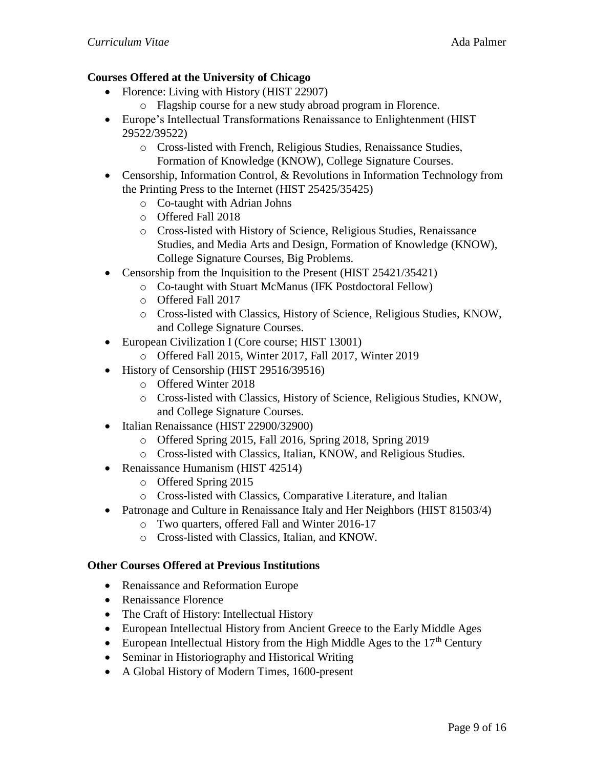# **Courses Offered at the University of Chicago**

- Florence: Living with History (HIST 22907)
	- o Flagship course for a new study abroad program in Florence.
- Europe's Intellectual Transformations Renaissance to Enlightenment (HIST 29522/39522)
	- o Cross-listed with French, Religious Studies, Renaissance Studies, Formation of Knowledge (KNOW), College Signature Courses.
- Censorship, Information Control, & Revolutions in Information Technology from the Printing Press to the Internet (HIST 25425/35425)
	- o Co-taught with Adrian Johns
	- o Offered Fall 2018
	- o Cross-listed with History of Science, Religious Studies, Renaissance Studies, and Media Arts and Design, Formation of Knowledge (KNOW), College Signature Courses, Big Problems.
- Censorship from the Inquisition to the Present (HIST 25421/35421)
	- o Co-taught with Stuart McManus (IFK Postdoctoral Fellow)
	- o Offered Fall 2017
	- o Cross-listed with Classics, History of Science, Religious Studies, KNOW, and College Signature Courses.
- European Civilization I (Core course; HIST 13001)
	- o Offered Fall 2015, Winter 2017, Fall 2017, Winter 2019
- History of Censorship (HIST 29516/39516)
	- o Offered Winter 2018
	- o Cross-listed with Classics, History of Science, Religious Studies, KNOW, and College Signature Courses.
- Italian Renaissance (HIST 22900/32900)
	- o Offered Spring 2015, Fall 2016, Spring 2018, Spring 2019
	- o Cross-listed with Classics, Italian, KNOW, and Religious Studies.
- Renaissance Humanism (HIST 42514)
	- o Offered Spring 2015
	- o Cross-listed with Classics, Comparative Literature, and Italian
- Patronage and Culture in Renaissance Italy and Her Neighbors (HIST 81503/4)
	- o Two quarters, offered Fall and Winter 2016-17
	- o Cross-listed with Classics, Italian, and KNOW.

### **Other Courses Offered at Previous Institutions**

- Renaissance and Reformation Europe
- Renaissance Florence
- The Craft of History: Intellectual History
- European Intellectual History from Ancient Greece to the Early Middle Ages
- European Intellectual History from the High Middle Ages to the  $17<sup>th</sup>$  Century
- Seminar in Historiography and Historical Writing
- A Global History of Modern Times, 1600-present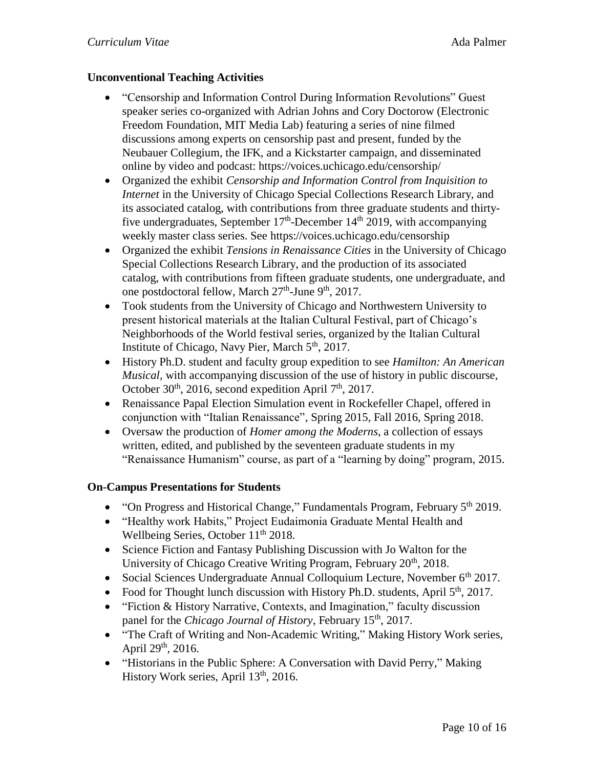### **Unconventional Teaching Activities**

- "Censorship and Information Control During Information Revolutions" Guest speaker series co-organized with Adrian Johns and Cory Doctorow (Electronic Freedom Foundation, MIT Media Lab) featuring a series of nine filmed discussions among experts on censorship past and present, funded by the Neubauer Collegium, the IFK, and a Kickstarter campaign, and disseminated online by video and podcast: https://voices.uchicago.edu/censorship/
- Organized the exhibit *Censorship and Information Control from Inquisition to Internet* in the University of Chicago Special Collections Research Library, and its associated catalog, with contributions from three graduate students and thirtyfive undergraduates, September  $17<sup>th</sup>$ -December  $14<sup>th</sup>$  2019, with accompanying weekly master class series. See https://voices.uchicago.edu/censorship
- Organized the exhibit *Tensions in Renaissance Cities* in the University of Chicago Special Collections Research Library, and the production of its associated catalog, with contributions from fifteen graduate students, one undergraduate, and one postdoctoral fellow, March 27<sup>th</sup>-June 9<sup>th</sup>, 2017.
- Took students from the University of Chicago and Northwestern University to present historical materials at the Italian Cultural Festival, part of Chicago's Neighborhoods of the World festival series, organized by the Italian Cultural Institute of Chicago, Navy Pier, March 5<sup>th</sup>, 2017.
- History Ph.D. student and faculty group expedition to see *Hamilton: An American Musical*, with accompanying discussion of the use of history in public discourse, October  $30<sup>th</sup>$ , 2016, second expedition April 7<sup>th</sup>, 2017.
- Renaissance Papal Election Simulation event in Rockefeller Chapel, offered in conjunction with "Italian Renaissance", Spring 2015, Fall 2016, Spring 2018.
- Oversaw the production of *Homer among the Moderns*, a collection of essays written, edited, and published by the seventeen graduate students in my "Renaissance Humanism" course, as part of a "learning by doing" program, 2015.

### **On-Campus Presentations for Students**

- $\bullet$  "On Progress and Historical Change," Fundamentals Program, February  $5<sup>th</sup>$  2019.
- "Healthy work Habits," Project Eudaimonia Graduate Mental Health and Wellbeing Series, October  $11<sup>th</sup> 2018$ .
- Science Fiction and Fantasy Publishing Discussion with Jo Walton for the University of Chicago Creative Writing Program, February 20<sup>th</sup>, 2018.
- Social Sciences Undergraduate Annual Colloquium Lecture, November  $6<sup>th</sup> 2017$ .
- Food for Thought lunch discussion with History Ph.D. students, April  $5<sup>th</sup>$ , 2017.
- "Fiction & History Narrative, Contexts, and Imagination," faculty discussion panel for the *Chicago Journal of History*, February 15<sup>th</sup>, 2017.
- "The Craft of Writing and Non-Academic Writing," Making History Work series, April  $29^{th}$ ,  $2016$ .
- "Historians in the Public Sphere: A Conversation with David Perry," Making History Work series, April 13<sup>th</sup>, 2016.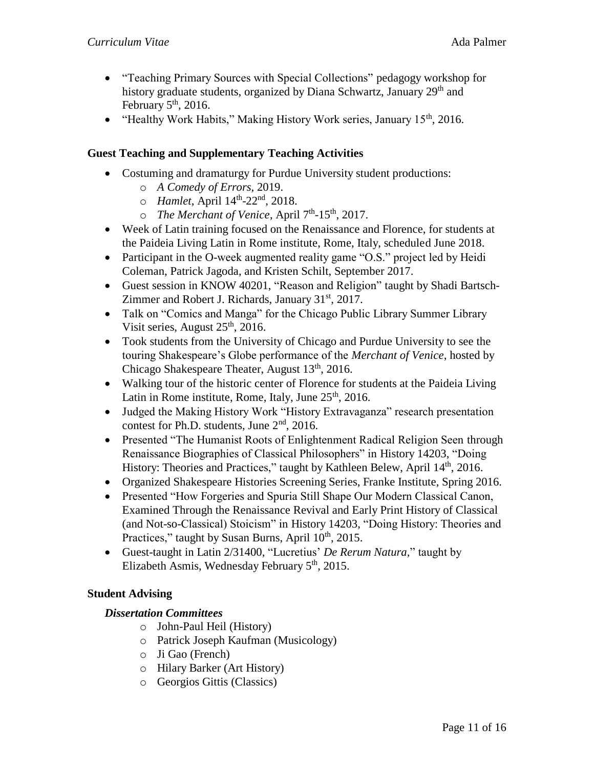- "Teaching Primary Sources with Special Collections" pedagogy workshop for history graduate students, organized by Diana Schwartz, January 29<sup>th</sup> and February  $5<sup>th</sup>$ , 2016.
- "Healthy Work Habits," Making History Work series, January 15<sup>th</sup>, 2016.

### **Guest Teaching and Supplementary Teaching Activities**

- Costuming and dramaturgy for Purdue University student productions:
	- o *A Comedy of Errors*, 2019.
	- o *Hamlet*, April 14<sup>th</sup>-22<sup>nd</sup>, 2018.
	- o *The Merchant of Venice*, April 7<sup>th</sup>-15<sup>th</sup>, 2017.
- Week of Latin training focused on the Renaissance and Florence, for students at the Paideia Living Latin in Rome institute, Rome, Italy, scheduled June 2018.
- Participant in the O-week augmented reality game "O.S." project led by Heidi Coleman, Patrick Jagoda, and Kristen Schilt, September 2017.
- Guest session in KNOW 40201, "Reason and Religion" taught by Shadi Bartsch-Zimmer and Robert J. Richards, January 31<sup>st</sup>, 2017.
- Talk on "Comics and Manga" for the Chicago Public Library Summer Library Visit series, August  $25<sup>th</sup>$ , 2016.
- Took students from the University of Chicago and Purdue University to see the touring Shakespeare's Globe performance of the *Merchant of Venice*, hosted by Chicago Shakespeare Theater, August  $13<sup>th</sup>$ , 2016.
- Walking tour of the historic center of Florence for students at the Paideia Living Latin in Rome institute, Rome, Italy, June 25<sup>th</sup>, 2016.
- Judged the Making History Work "History Extravaganza" research presentation contest for Ph.D. students, June  $2<sup>nd</sup>$ , 2016.
- Presented "The Humanist Roots of Enlightenment Radical Religion Seen through Renaissance Biographies of Classical Philosophers" in History 14203, "Doing History: Theories and Practices," taught by Kathleen Belew, April 14<sup>th</sup>, 2016.
- Organized Shakespeare Histories Screening Series, Franke Institute, Spring 2016.
- Presented "How Forgeries and Spuria Still Shape Our Modern Classical Canon, Examined Through the Renaissance Revival and Early Print History of Classical (and Not-so-Classical) Stoicism" in History 14203, "Doing History: Theories and Practices," taught by Susan Burns, April 10<sup>th</sup>, 2015.
- Guest-taught in Latin 2/31400, "Lucretius' *De Rerum Natura,*" taught by Elizabeth Asmis, Wednesday February  $5<sup>th</sup>$ , 2015.

### **Student Advising**

### *Dissertation Committees*

- o John-Paul Heil (History)
- o Patrick Joseph Kaufman (Musicology)
- o Ji Gao (French)
- o Hilary Barker (Art History)
- o Georgios Gittis (Classics)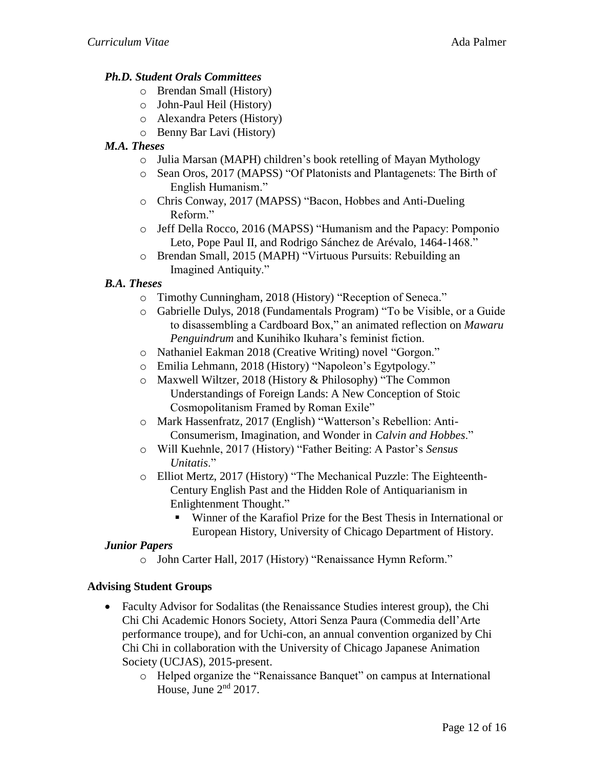## *Ph.D. Student Orals Committees*

- o Brendan Small (History)
- o John-Paul Heil (History)
- o Alexandra Peters (History)
- o Benny Bar Lavi (History)

## *M.A. Theses*

- o Julia Marsan (MAPH) children's book retelling of Mayan Mythology
- o Sean Oros, 2017 (MAPSS) "Of Platonists and Plantagenets: The Birth of English Humanism."
- o Chris Conway, 2017 (MAPSS) "Bacon, Hobbes and Anti-Dueling Reform."
- o Jeff Della Rocco, 2016 (MAPSS) "Humanism and the Papacy: Pomponio Leto, Pope Paul II, and Rodrigo Sánchez de Arévalo, 1464-1468."
- o Brendan Small, 2015 (MAPH) "Virtuous Pursuits: Rebuilding an Imagined Antiquity."

# *B.A. Theses*

- o Timothy Cunningham, 2018 (History) "Reception of Seneca."
- o Gabrielle Dulys, 2018 (Fundamentals Program) "To be Visible, or a Guide to disassembling a Cardboard Box," an animated reflection on *Mawaru Penguindrum* and Kunihiko Ikuhara's feminist fiction.
- o Nathaniel Eakman 2018 (Creative Writing) novel "Gorgon."
- o Emilia Lehmann, 2018 (History) "Napoleon's Egytpology."
- o Maxwell Wiltzer, 2018 (History & Philosophy) "The Common Understandings of Foreign Lands: A New Conception of Stoic Cosmopolitanism Framed by Roman Exile"
- o Mark Hassenfratz, 2017 (English) "Watterson's Rebellion: Anti-Consumerism, Imagination, and Wonder in *Calvin and Hobbes*."
- o Will Kuehnle, 2017 (History) "Father Beiting: A Pastor's *Sensus Unitatis*."
- o Elliot Mertz, 2017 (History) "The Mechanical Puzzle: The Eighteenth-Century English Past and the Hidden Role of Antiquarianism in Enlightenment Thought."
	- Winner of the Karafiol Prize for the Best Thesis in International or European History, University of Chicago Department of History.

### *Junior Papers*

o John Carter Hall, 2017 (History) "Renaissance Hymn Reform."

### **Advising Student Groups**

- Faculty Advisor for Sodalitas (the Renaissance Studies interest group), the Chi Chi Chi Academic Honors Society, Attori Senza Paura (Commedia dell'Arte performance troupe), and for Uchi-con, an annual convention organized by Chi Chi Chi in collaboration with the University of Chicago Japanese Animation Society (UCJAS), 2015-present.
	- o Helped organize the "Renaissance Banquet" on campus at International House, June  $2<sup>nd</sup> 2017$ .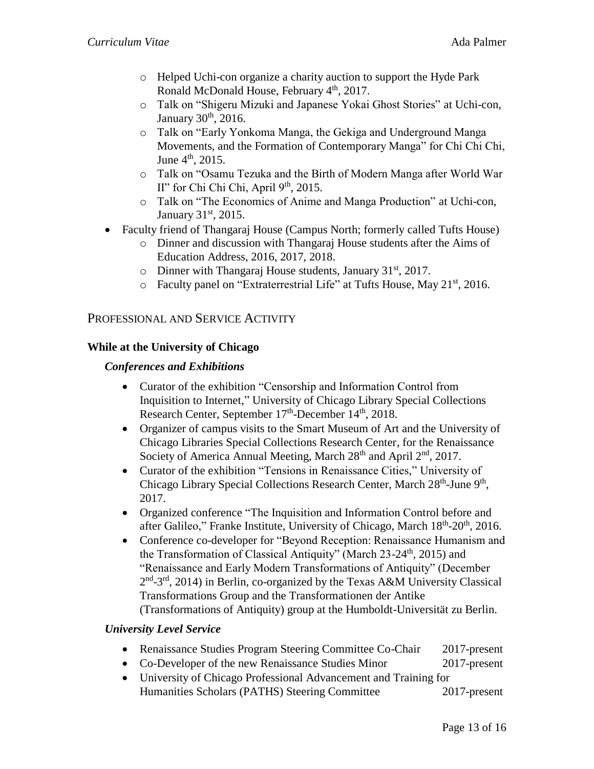- o Helped Uchi-con organize a charity auction to support the Hyde Park Ronald McDonald House, February 4<sup>th</sup>, 2017.
- o Talk on "Shigeru Mizuki and Japanese Yokai Ghost Stories" at Uchi-con, January  $30<sup>th</sup>$ , 2016.
- o Talk on "Early Yonkoma Manga, the Gekiga and Underground Manga Movements, and the Formation of Contemporary Manga" for Chi Chi Chi, June  $4^{\text{th}}$ , 2015.
- o Talk on "Osamu Tezuka and the Birth of Modern Manga after World War II" for Chi Chi Chi, April  $9<sup>th</sup>$ , 2015.
- o Talk on "The Economics of Anime and Manga Production" at Uchi-con, January 31<sup>st</sup>, 2015.
- Faculty friend of Thangaraj House (Campus North; formerly called Tufts House)
	- o Dinner and discussion with Thangaraj House students after the Aims of Education Address, 2016, 2017, 2018.
	- $\circ$  Dinner with Thangaraj House students, January 31<sup>st</sup>, 2017.
	- $\circ$  Faculty panel on "Extraterrestrial Life" at Tufts House, May 21<sup>st</sup>, 2016.

## PROFESSIONAL AND SERVICE ACTIVITY

### **While at the University of Chicago**

### *Conferences and Exhibitions*

- Curator of the exhibition "Censorship and Information Control from Inquisition to Internet," University of Chicago Library Special Collections Research Center, September 17<sup>th</sup>-December 14<sup>th</sup>, 2018.
- Organizer of campus visits to the Smart Museum of Art and the University of Chicago Libraries Special Collections Research Center, for the Renaissance Society of America Annual Meeting, March 28<sup>th</sup> and April 2<sup>nd</sup>, 2017.
- Curator of the exhibition "Tensions in Renaissance Cities," University of Chicago Library Special Collections Research Center, March 28<sup>th</sup>-June 9<sup>th</sup>, 2017.
- Organized conference "The Inquisition and Information Control before and after Galileo," Franke Institute, University of Chicago, March 18<sup>th</sup>-20<sup>th</sup>, 2016.
- Conference co-developer for "Beyond Reception: Renaissance Humanism and the Transformation of Classical Antiquity" (March 23-24<sup>th</sup>, 2015) and "Renaissance and Early Modern Transformations of Antiquity" (December 2<sup>nd</sup>-3<sup>rd</sup>, 2014) in Berlin, co-organized by the Texas A&M University Classical Transformations Group and the Transformationen der Antike (Transformations of Antiquity) group at the Humboldt-Universität zu Berlin.

### *University Level Service*

- Renaissance Studies Program Steering Committee Co-Chair 2017-present
- Co-Developer of the new Renaissance Studies Minor 2017-present
- University of Chicago Professional Advancement and Training for Humanities Scholars (PATHS) Steering Committee 2017-present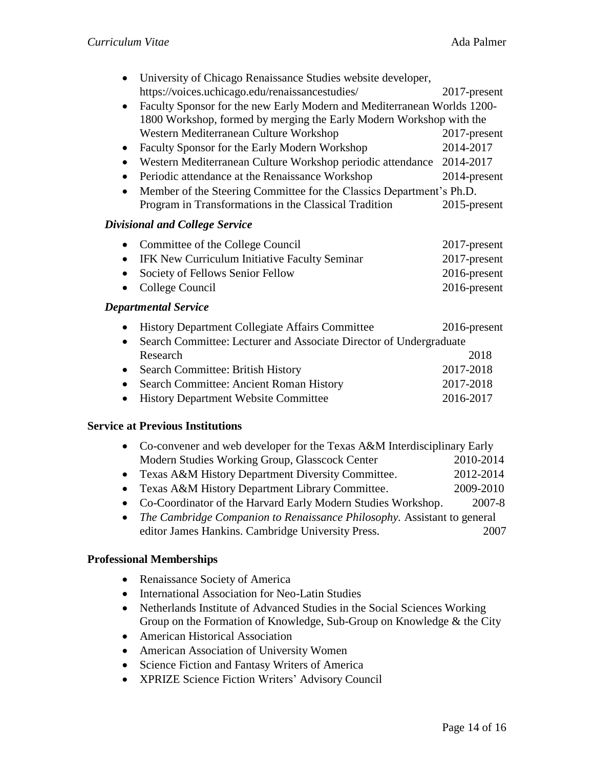|                                       | University of Chicago Renaissance Studies website developer,            |                 |  |  |
|---------------------------------------|-------------------------------------------------------------------------|-----------------|--|--|
|                                       | https://voices.uchicago.edu/renaissancestudies/                         | 2017-present    |  |  |
| $\bullet$                             | Faculty Sponsor for the new Early Modern and Mediterranean Worlds 1200- |                 |  |  |
|                                       | 1800 Workshop, formed by merging the Early Modern Workshop with the     |                 |  |  |
|                                       | Western Mediterranean Culture Workshop                                  | 2017-present    |  |  |
| $\bullet$                             | Faculty Sponsor for the Early Modern Workshop                           | 2014-2017       |  |  |
| $\bullet$                             | Western Mediterranean Culture Workshop periodic attendance              | 2014-2017       |  |  |
| $\bullet$                             | Periodic attendance at the Renaissance Workshop                         | 2014-present    |  |  |
| $\bullet$                             | Member of the Steering Committee for the Classics Department's Ph.D.    |                 |  |  |
|                                       | Program in Transformations in the Classical Tradition                   | 2015-present    |  |  |
| <b>Divisional and College Service</b> |                                                                         |                 |  |  |
| $\bullet$                             | Committee of the College Council                                        | 2017-present    |  |  |
| $\bullet$                             | IFK New Curriculum Initiative Faculty Seminar                           | 2017-present    |  |  |
| $\bullet$                             | Society of Fellows Senior Fellow                                        | 2016-present    |  |  |
|                                       | College Council                                                         | 2016-present    |  |  |
| <b>Departmental Service</b>           |                                                                         |                 |  |  |
| $\bullet$                             | <b>History Department Collegiate Affairs Committee</b>                  | $2016$ -present |  |  |
| $\bullet$                             | Search Committee: Lecturer and Associate Director of Undergraduate      |                 |  |  |
|                                       | Research                                                                | 2018            |  |  |
| $\bullet$                             | Search Committee: British History                                       | 2017-2018       |  |  |
| $\bullet$                             | Search Committee: Ancient Roman History                                 | 2017-2018       |  |  |
| $\bullet$                             | <b>History Department Website Committee</b>                             | 2016-2017       |  |  |

#### **Service at Previous Institutions**

| • Co-convener and web developer for the Texas A&M Interdisciplinary Early |           |  |
|---------------------------------------------------------------------------|-----------|--|
| Modern Studies Working Group, Glasscock Center                            | 2010-2014 |  |
| • Texas A&M History Department Diversity Committee.                       | 2012-2014 |  |
| • Texas A&M History Department Library Committee.                         | 2009-2010 |  |
| • Co-Coordinator of the Harvard Early Modern Studies Workshop.            | 2007-8    |  |

• *The Cambridge Companion to Renaissance Philosophy.* Assistant to general editor James Hankins. Cambridge University Press. 2007

#### **Professional Memberships**

- Renaissance Society of America
- International Association for Neo-Latin Studies
- Netherlands Institute of Advanced Studies in the Social Sciences Working Group on the Formation of Knowledge, Sub-Group on Knowledge & the City
- American Historical Association
- American Association of University Women
- Science Fiction and Fantasy Writers of America
- XPRIZE Science Fiction Writers' Advisory Council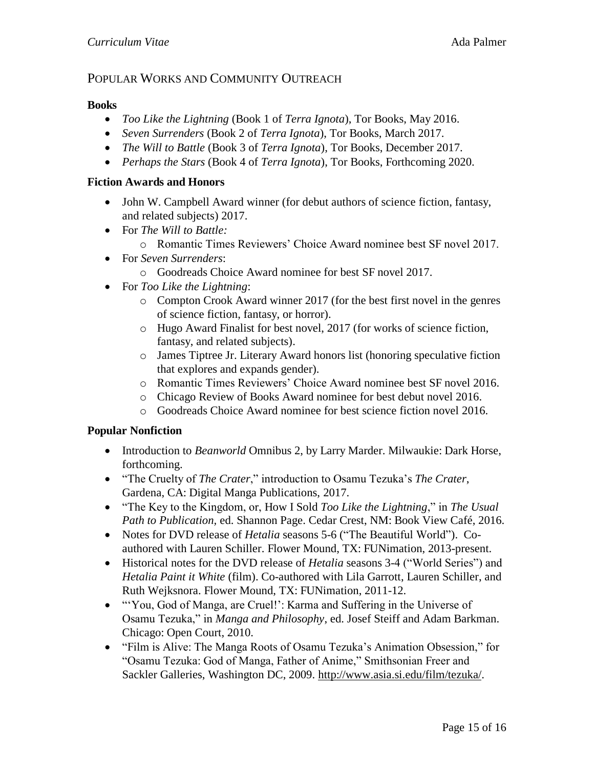# POPULAR WORKS AND COMMUNITY OUTREACH

#### **Books**

- *Too Like the Lightning* (Book 1 of *Terra Ignota*), Tor Books, May 2016.
- *Seven Surrenders* (Book 2 of *Terra Ignota*), Tor Books, March 2017.
- *The Will to Battle* (Book 3 of *Terra Ignota*), Tor Books, December 2017.
- *Perhaps the Stars* (Book 4 of *Terra Ignota*), Tor Books, Forthcoming 2020.

#### **Fiction Awards and Honors**

- John W. Campbell Award winner (for debut authors of science fiction, fantasy, and related subjects) 2017.
- For *The Will to Battle:*
	- o Romantic Times Reviewers' Choice Award nominee best SF novel 2017.
- For *Seven Surrenders*:
	- o Goodreads Choice Award nominee for best SF novel 2017.
- For *Too Like the Lightning*:
	- o Compton Crook Award winner 2017 (for the best first novel in the genres of science fiction, fantasy, or horror).
	- o Hugo Award Finalist for best novel, 2017 (for works of science fiction, fantasy, and related subjects).
	- o James Tiptree Jr. Literary Award honors list (honoring speculative fiction that explores and expands gender).
	- o Romantic Times Reviewers' Choice Award nominee best SF novel 2016.
	- o Chicago Review of Books Award nominee for best debut novel 2016.
	- o Goodreads Choice Award nominee for best science fiction novel 2016.

### **Popular Nonfiction**

- Introduction to *Beanworld* Omnibus 2, by Larry Marder. Milwaukie: Dark Horse, forthcoming.
- "The Cruelty of *The Crater*," introduction to Osamu Tezuka's *The Crater*, Gardena, CA: Digital Manga Publications, 2017.
- "The Key to the Kingdom, or, How I Sold *Too Like the Lightning*," in *The Usual Path to Publication,* ed. Shannon Page. Cedar Crest, NM: Book View Café, 2016.
- Notes for DVD release of *Hetalia* seasons 5-6 ("The Beautiful World"). Coauthored with Lauren Schiller. Flower Mound, TX: FUNimation, 2013-present.
- Historical notes for the DVD release of *Hetalia* seasons 3-4 ("World Series") and *Hetalia Paint it White* (film). Co-authored with Lila Garrott, Lauren Schiller, and Ruth Wejksnora. Flower Mound, TX: FUNimation, 2011-12.
- "'You, God of Manga, are Cruel!': Karma and Suffering in the Universe of Osamu Tezuka," in *Manga and Philosophy*, ed. Josef Steiff and Adam Barkman. Chicago: Open Court, 2010.
- "Film is Alive: The Manga Roots of Osamu Tezuka's Animation Obsession," for "Osamu Tezuka: God of Manga, Father of Anime," Smithsonian Freer and Sackler Galleries, Washington DC, 2009. [http://www.asia.si.edu/film/tezuka/.](http://www.asia.si.edu/film/tezuka/)